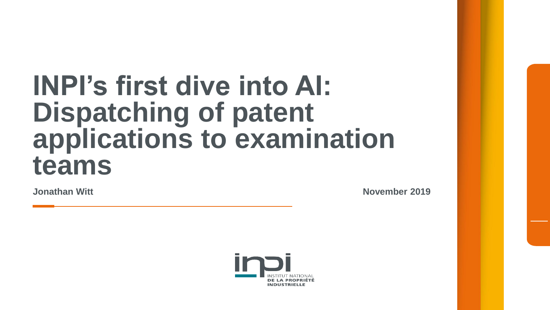## **INPI's first dive into AI: Dispatching of patent applications to examination teams**

**Jonathan Witt November 2019**

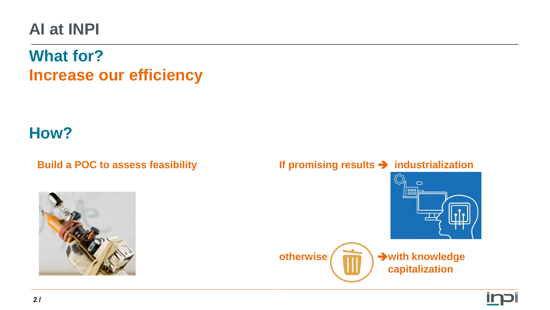#### **AI at INPI**

#### **What for? Increase our efficiency**

#### **How?**



#### **Build a POC to assess feasibility If promising results industrialization**

**otherwise**  $\left($  **<del>III</del></del>**  $\right)$  **→ with knowledge capitalization**

 $\circ$ 888

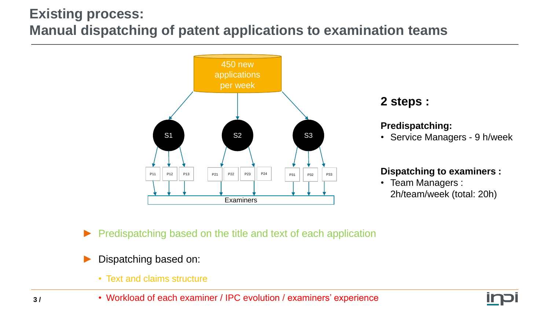#### **Existing process: Manual dispatching of patent applications to examination teams**



#### **2 steps :**

#### **Predispatching:**

• Service Managers - 9 h/week

#### **Dispatching to examiners :**

- Team Managers : 2h/team/week (total: 20h)
- Predispatching based on the title and text of each application
- Dispatching based on:
	- Text and claims structure
	- Workload of each examiner / IPC evolution / examiners' experience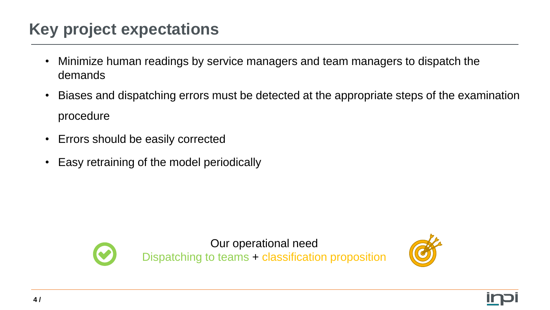### **Key project expectations**

- Minimize human readings by service managers and team managers to dispatch the demands
- Biases and dispatching errors must be detected at the appropriate steps of the examination procedure
- Errors should be easily corrected
- Easy retraining of the model periodically



Our operational need Dispatching to teams + classification proposition

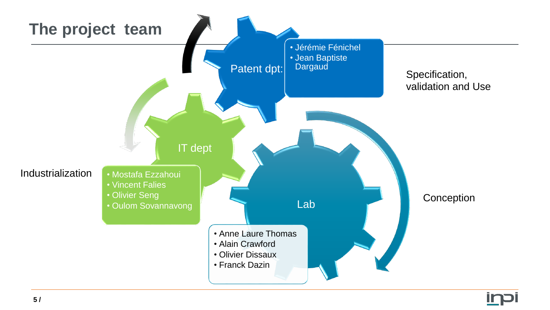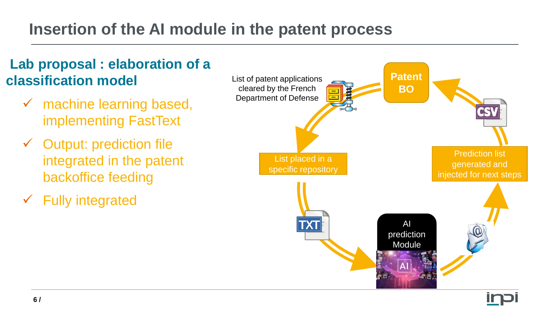#### **Insertion of the AI module in the patent process**

#### **Lab proposal : elaboration of a classification model**

- machine learning based, implementing FastText
- $\checkmark$  Output: prediction file integrated in the patent backoffice feeding
- $\checkmark$  Fully integrated

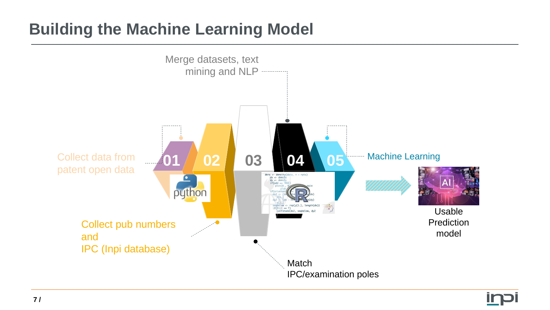#### **Building the Machine Learning Model**



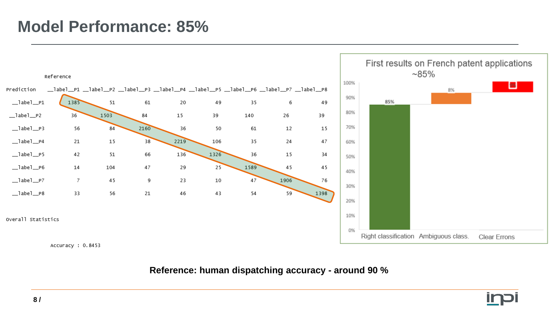#### **Model Performance: 85%**



#### **Reference: human dispatching accuracy - around 90 %**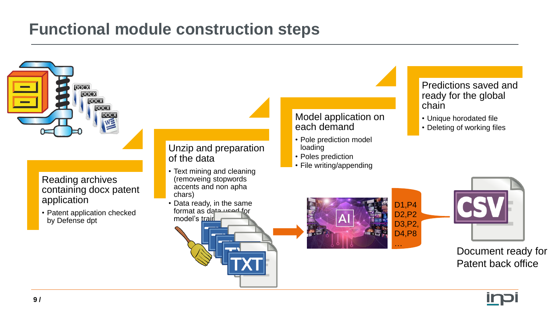#### **Functional module construction steps**



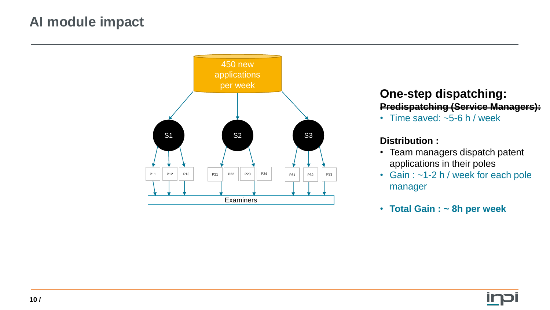#### **AI module impact**



#### **One-step dispatching: Predispatching (Service Managers):**

• Time saved: ~5-6 h / week

#### **Distribution :**

- Team managers dispatch patent applications in their poles
- Gain : ~1-2 h / week for each pole manager
- **Total Gain : ~ 8h per week**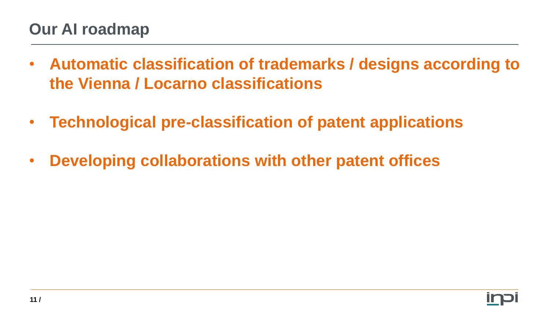#### **Our AI roadmap**

- **Automatic classification of trademarks / designs according to the Vienna / Locarno classifications**
- **Technological pre-classification of patent applications**
- **Developing collaborations with other patent offices**